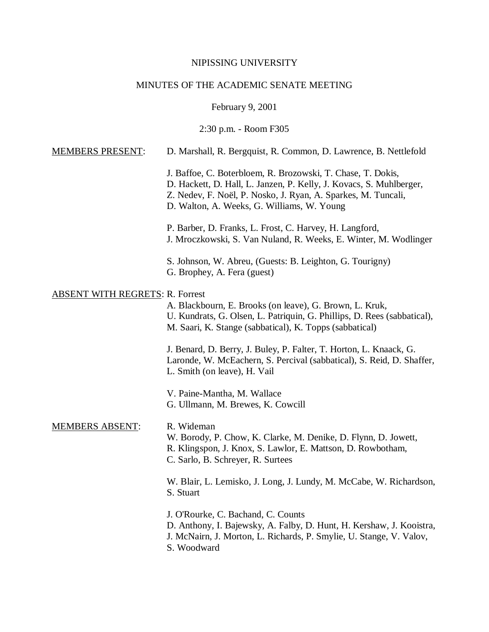#### NIPISSING UNIVERSITY

#### MINUTES OF THE ACADEMIC SENATE MEETING

February 9, 2001

2:30 p.m. - Room F305

### MEMBERS PRESENT: D. Marshall, R. Bergquist, R. Common, D. Lawrence, B. Nettlefold

J. Baffoe, C. Boterbloem, R. Brozowski, T. Chase, T. Dokis, D. Hackett, D. Hall, L. Janzen, P. Kelly, J. Kovacs, S. Muhlberger, Z. Nedev, F. Noël, P. Nosko, J. Ryan, A. Sparkes, M. Tuncali, D. Walton, A. Weeks, G. Williams, W. Young

P. Barber, D. Franks, L. Frost, C. Harvey, H. Langford, J. Mroczkowski, S. Van Nuland, R. Weeks, E. Winter, M. Wodlinger

S. Johnson, W. Abreu, (Guests: B. Leighton, G. Tourigny) G. Brophey, A. Fera (guest)

### ABSENT WITH REGRETS: R. Forrest

A. Blackbourn, E. Brooks (on leave), G. Brown, L. Kruk, U. Kundrats, G. Olsen, L. Patriquin, G. Phillips, D. Rees (sabbatical), M. Saari, K. Stange (sabbatical), K. Topps (sabbatical)

J. Benard, D. Berry, J. Buley, P. Falter, T. Horton, L. Knaack, G. Laronde, W. McEachern, S. Percival (sabbatical), S. Reid, D. Shaffer, L. Smith (on leave), H. Vail

V. Paine-Mantha, M. Wallace G. Ullmann, M. Brewes, K. Cowcill

#### MEMBERS ABSENT: R. Wideman

W. Borody, P. Chow, K. Clarke, M. Denike, D. Flynn, D. Jowett, R. Klingspon, J. Knox, S. Lawlor, E. Mattson, D. Rowbotham, C. Sarlo, B. Schreyer, R. Surtees

W. Blair, L. Lemisko, J. Long, J. Lundy, M. McCabe, W. Richardson, S. Stuart

J. O'Rourke, C. Bachand, C. Counts D. Anthony, I. Bajewsky, A. Falby, D. Hunt, H. Kershaw, J. Kooistra, J. McNairn, J. Morton, L. Richards, P. Smylie, U. Stange, V. Valov, S. Woodward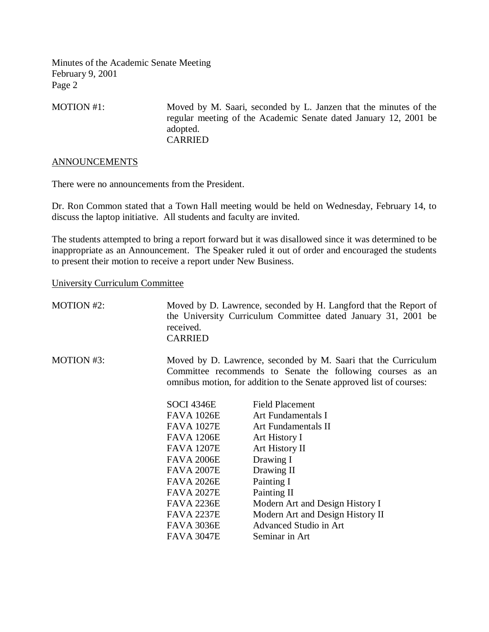MOTION #1: Moved by M. Saari, seconded by L. Janzen that the minutes of the regular meeting of the Academic Senate dated January 12, 2001 be adopted. CARRIED

#### ANNOUNCEMENTS

There were no announcements from the President.

Dr. Ron Common stated that a Town Hall meeting would be held on Wednesday, February 14, to discuss the laptop initiative. All students and faculty are invited.

The students attempted to bring a report forward but it was disallowed since it was determined to be inappropriate as an Announcement. The Speaker ruled it out of order and encouraged the students to present their motion to receive a report under New Business.

#### University Curriculum Committee

| <b>MOTION #2:</b> | received.<br><b>CARRIED</b>                                                                                                                                                                          | Moved by D. Lawrence, seconded by H. Langford that the Report of<br>the University Curriculum Committee dated January 31, 2001 be |  |
|-------------------|------------------------------------------------------------------------------------------------------------------------------------------------------------------------------------------------------|-----------------------------------------------------------------------------------------------------------------------------------|--|
| MOTION #3:        | Moved by D. Lawrence, seconded by M. Saari that the Curriculum<br>Committee recommends to Senate the following courses as an<br>omnibus motion, for addition to the Senate approved list of courses: |                                                                                                                                   |  |
|                   | SOCI 4346E                                                                                                                                                                                           | <b>Field Placement</b>                                                                                                            |  |
|                   | <b>FAVA 1026E</b>                                                                                                                                                                                    | Art Fundamentals I                                                                                                                |  |
|                   | <b>FAVA 1027E</b>                                                                                                                                                                                    | Art Fundamentals II                                                                                                               |  |
|                   | <b>FAVA 1206E</b>                                                                                                                                                                                    | Art History I                                                                                                                     |  |
|                   | <b>FAVA 1207E</b>                                                                                                                                                                                    | Art History II                                                                                                                    |  |
|                   | <b>FAVA 2006E</b>                                                                                                                                                                                    | Drawing I                                                                                                                         |  |
|                   | <b>FAVA 2007E</b>                                                                                                                                                                                    | Drawing II                                                                                                                        |  |
|                   | <b>FAVA 2026E</b>                                                                                                                                                                                    | Painting I                                                                                                                        |  |
|                   | <b>FAVA 2027E</b>                                                                                                                                                                                    | Painting II                                                                                                                       |  |
|                   | <b>FAVA 2236E</b>                                                                                                                                                                                    | Modern Art and Design History I                                                                                                   |  |
|                   | <b>FAVA 2237E</b>                                                                                                                                                                                    | Modern Art and Design History II                                                                                                  |  |
|                   | FAVA 3036E                                                                                                                                                                                           | Advanced Studio in Art                                                                                                            |  |
|                   | <b>FAVA 3047E</b>                                                                                                                                                                                    | Seminar in Art                                                                                                                    |  |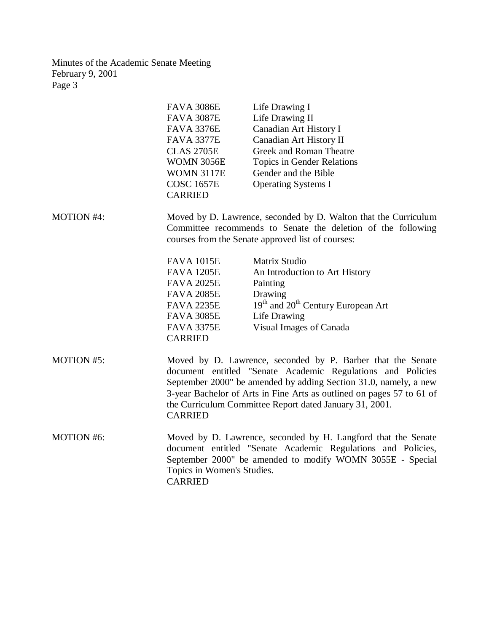| <b>FAVA 3086E</b> | Life Drawing I             |
|-------------------|----------------------------|
| <b>FAVA 3087E</b> | Life Drawing II            |
| <b>FAVA 3376E</b> | Canadian Art History I     |
| <b>FAVA 3377E</b> | Canadian Art History II    |
| <b>CLAS 2705E</b> | Greek and Roman Theatre    |
| WOMN 3056E        | Topics in Gender Relations |
| <b>WOMN 3117E</b> | Gender and the Bible       |
| <b>COSC 1657E</b> | <b>Operating Systems I</b> |
| <b>CARRIED</b>    |                            |

MOTION #4: Moved by D. Lawrence, seconded by D. Walton that the Curriculum Committee recommends to Senate the deletion of the following courses from the Senate approved list of courses:

| FAVA 1015E<br>Matrix Studio       |                                                            |
|-----------------------------------|------------------------------------------------------------|
| FAVA 1205E                        | An Introduction to Art History                             |
| <b>FAVA 2025E</b><br>Painting     |                                                            |
| Drawing<br>FAVA 2085E             |                                                            |
| <b>FAVA 2235E</b>                 | 19 <sup>th</sup> and 20 <sup>th</sup> Century European Art |
| <b>FAVA 3085E</b><br>Life Drawing |                                                            |
| FAVA 3375E                        | Visual Images of Canada                                    |
| CARRIED                           |                                                            |

MOTION #5: Moved by D. Lawrence, seconded by P. Barber that the Senate document entitled "Senate Academic Regulations and Policies September 2000" be amended by adding Section 31.0, namely, a new 3-year Bachelor of Arts in Fine Arts as outlined on pages 57 to 61 of the Curriculum Committee Report dated January 31, 2001. CARRIED

MOTION #6: Moved by D. Lawrence, seconded by H. Langford that the Senate document entitled "Senate Academic Regulations and Policies, September 2000" be amended to modify WOMN 3055E - Special Topics in Women's Studies. CARRIED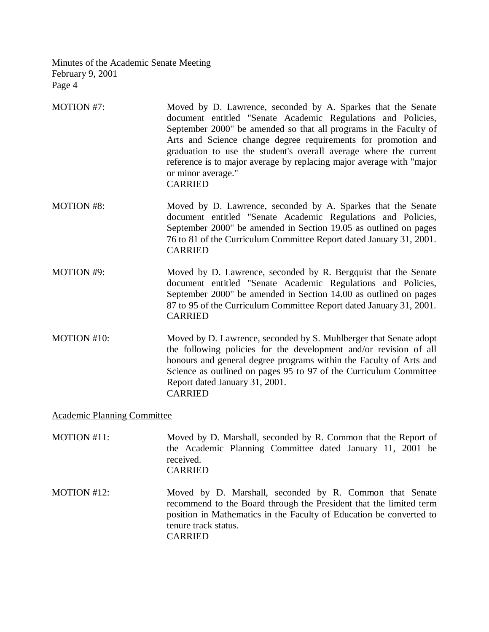- MOTION #7: Moved by D. Lawrence, seconded by A. Sparkes that the Senate document entitled "Senate Academic Regulations and Policies, September 2000" be amended so that all programs in the Faculty of Arts and Science change degree requirements for promotion and graduation to use the student's overall average where the current reference is to major average by replacing major average with "major or minor average." CARRIED
- MOTION #8: Moved by D. Lawrence, seconded by A. Sparkes that the Senate document entitled "Senate Academic Regulations and Policies, September 2000" be amended in Section 19.05 as outlined on pages 76 to 81 of the Curriculum Committee Report dated January 31, 2001. CARRIED
- MOTION #9: Moved by D. Lawrence, seconded by R. Bergquist that the Senate document entitled "Senate Academic Regulations and Policies, September 2000" be amended in Section 14.00 as outlined on pages 87 to 95 of the Curriculum Committee Report dated January 31, 2001. CARRIED
- MOTION #10: Moved by D. Lawrence, seconded by S. Muhlberger that Senate adopt the following policies for the development and/or revision of all honours and general degree programs within the Faculty of Arts and Science as outlined on pages 95 to 97 of the Curriculum Committee Report dated January 31, 2001. CARRIED

# Academic Planning Committee

| MOTION #11: | Moved by D. Marshall, seconded by R. Common that the Report of<br>the Academic Planning Committee dated January 11, 2001 be<br>received.<br><b>CARRIED</b>                                                                                     |
|-------------|------------------------------------------------------------------------------------------------------------------------------------------------------------------------------------------------------------------------------------------------|
| MOTION #12: | Moved by D. Marshall, seconded by R. Common that Senate<br>recommend to the Board through the President that the limited term<br>position in Mathematics in the Faculty of Education be converted to<br>tenure track status.<br><b>CARRIED</b> |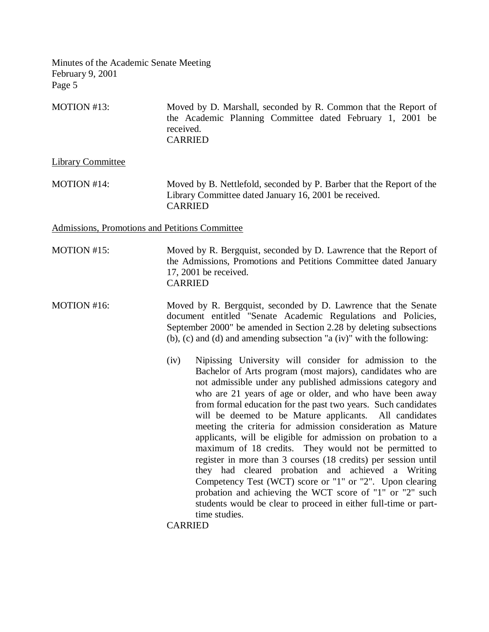MOTION #13: Moved by D. Marshall, seconded by R. Common that the Report of the Academic Planning Committee dated February 1, 2001 be received. CARRIED

Library Committee

MOTION #14: Moved by B. Nettlefold, seconded by P. Barber that the Report of the Library Committee dated January 16, 2001 be received. CARRIED

Admissions, Promotions and Petitions Committee

MOTION #15: Moved by R. Bergquist, seconded by D. Lawrence that the Report of the Admissions, Promotions and Petitions Committee dated January 17, 2001 be received. CARRIED

MOTION #16: Moved by R. Bergquist, seconded by D. Lawrence that the Senate document entitled "Senate Academic Regulations and Policies, September 2000" be amended in Section 2.28 by deleting subsections (b), (c) and (d) and amending subsection "a (iv)" with the following:

> (iv) Nipissing University will consider for admission to the Bachelor of Arts program (most majors), candidates who are not admissible under any published admissions category and who are 21 years of age or older, and who have been away from formal education for the past two years. Such candidates will be deemed to be Mature applicants. All candidates meeting the criteria for admission consideration as Mature applicants, will be eligible for admission on probation to a maximum of 18 credits. They would not be permitted to register in more than 3 courses (18 credits) per session until they had cleared probation and achieved a Writing Competency Test (WCT) score or "1" or "2". Upon clearing probation and achieving the WCT score of "1" or "2" such students would be clear to proceed in either full-time or parttime studies.

CARRIED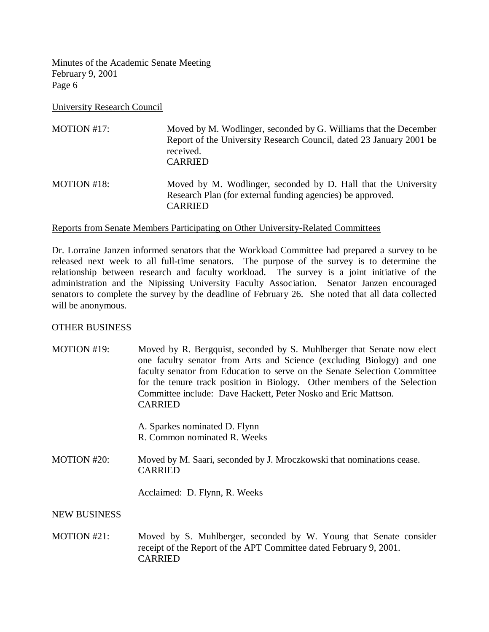University Research Council

MOTION #17: Moved by M. Wodlinger, seconded by G. Williams that the December Report of the University Research Council, dated 23 January 2001 be received. CARRIED MOTION #18: Moved by M. Wodlinger, seconded by D. Hall that the University Research Plan (for external funding agencies) be approved. CARRIED

### Reports from Senate Members Participating on Other University-Related Committees

Dr. Lorraine Janzen informed senators that the Workload Committee had prepared a survey to be released next week to all full-time senators. The purpose of the survey is to determine the relationship between research and faculty workload. The survey is a joint initiative of the administration and the Nipissing University Faculty Association. Senator Janzen encouraged senators to complete the survey by the deadline of February 26. She noted that all data collected will be anonymous.

# OTHER BUSINESS

MOTION #19: Moved by R. Bergquist, seconded by S. Muhlberger that Senate now elect one faculty senator from Arts and Science (excluding Biology) and one faculty senator from Education to serve on the Senate Selection Committee for the tenure track position in Biology. Other members of the Selection Committee include: Dave Hackett, Peter Nosko and Eric Mattson. CARRIED

> A. Sparkes nominated D. Flynn R. Common nominated R. Weeks

MOTION #20: Moved by M. Saari, seconded by J. Mroczkowski that nominations cease. CARRIED

Acclaimed: D. Flynn, R. Weeks

# NEW BUSINESS

MOTION #21: Moved by S. Muhlberger, seconded by W. Young that Senate consider receipt of the Report of the APT Committee dated February 9, 2001. CARRIED